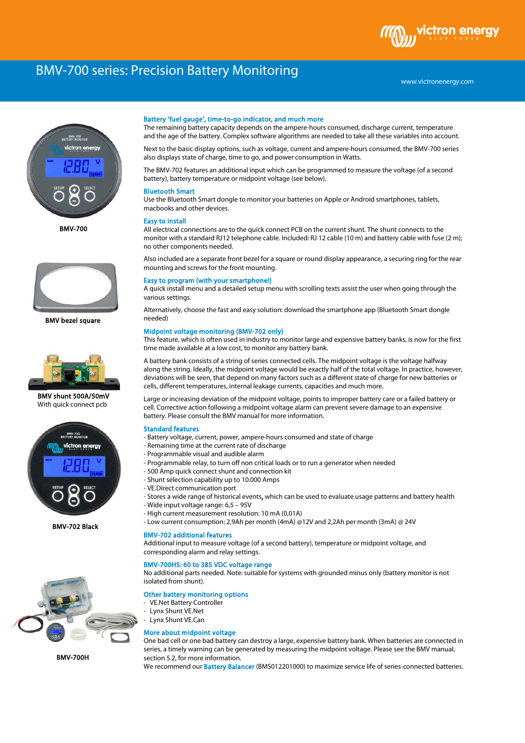# BMV-700 series: Precision Battery Monitoring



BMV-700



BMV bezel square



 BMV shunt 500A/50mV With quick connect pcb



BMV-702 Black



BMV-700H

### Battery 'fuel gauge', time-to-go indicator, and much more

The remaining battery capacity depends on the ampere-hours consumed, discharge current, temperature and the age of the battery. Complex software algorithms are needed to take all these variables into account.

Next to the basic display options, such as voltage, current and ampere-hours consumed, the BMV-700 series also displays state of charge, time to go, and power consumption in Watts.

The BMV-702 features an additional input which can be programmed to measure the voltage (of a second battery), battery temperature or midpoint voltage (see below).

# Bluetooth Smart

Use the Bluetooth Smart dongle to monitor your batteries on Apple or Android smartphones, tablets, macbooks and other devices.

#### Easy to install

All electrical connections are to the quick connect PCB on the current shunt. The shunt connects to the monitor with a standard RJ12 telephone cable. Included: RJ 12 cable (10 m) and battery cable with fuse (2 m); no other components needed.

Also included are a separate front bezel for a square or round display appearance, a securing ring for the rear mounting and screws for the front mounting.

#### Easy to program (with your smartphone!)

A quick install menu and a detailed setup menu with scrolling texts assist the user when going through the various settings.

Alternatively, choose the fast and easy solution: download the smartphone app (Bluetooth Smart dongle needed)

# Midpoint voltage monitoring (BMV-702 only)

This feature, which is often used in industry to monitor large and expensive battery banks, is now for the first time made available at a low cost, to monitor any battery bank.

A battery bank consists of a string of series connected cells. The midpoint voltage is the voltage halfway along the string. Ideally, the midpoint voltage would be exactly half of the total voltage. In practice, however, deviations will be seen, that depend on many factors such as a different state of charge for new batteries or cells, different temperatures, internal leakage currents, capacities and much more.

Large or increasing deviation of the midpoint voltage, points to improper battery care or a failed battery or cell. Corrective action following a midpoint voltage alarm can prevent severe damage to an expensive battery. Please consult the BMV manual for more information.

# Standard features

- Battery voltage, current, power, ampere-hours consumed and state of charge
- Remaining time at the current rate of discharge
- Programmable visual and audible alarm
- Programmable relay, to turn off non critical loads or to run a generator when needed
- 500 Amp quick connect shunt and connection kit
- Shunt selection capability up to 10.000 Amps
- VE.Direct communication port
- Stores a wide range of historical events, which can be used to evaluate usage patterns and battery health
- Wide input voltage range: 6,5 95V
- High current measurement resolution: 10 mA (0,01A)
- Low current consumption: 2,9Ah per month (4mA) @12V and 2,2Ah per month (3mA) @ 24V

#### BMV-702 additional features

Additional input to measure voltage (of a second battery), temperature or midpoint voltage, and corresponding alarm and relay settings.

# BMV-700HS: 60 to 385 VDC voltage range

No additional parts needed. Note: suitable for systems with grounded minus only (battery monitor is not isolated from shunt).

# Other battery monitoring options

- VE.Net Battery Controller
- Lynx Shunt VE.Net
- Lynx Shunt VE.Can

# More about midpoint voltage

One bad cell or one bad battery can destroy a large, expensive battery bank. When batteries are connected in series, a timely warning can be generated by measuring the midpoint voltage. Please see the BMV manual, section 5.2, for more information.

We recommend our **Battery Balancer** (BMS012201000) to maximize service life of series-connected batteries.